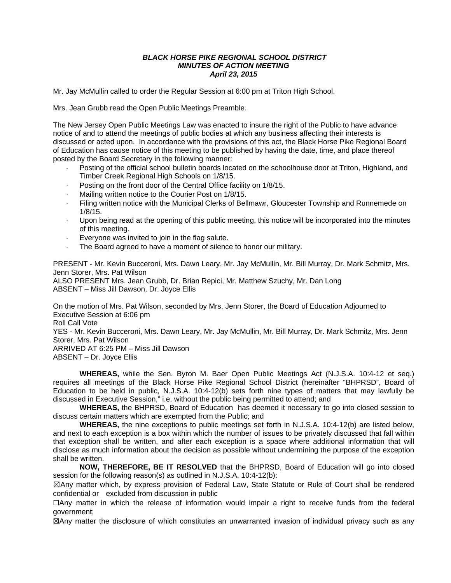#### *BLACK HORSE PIKE REGIONAL SCHOOL DISTRICT MINUTES OF ACTION MEETING April 23, 2015*

Mr. Jay McMullin called to order the Regular Session at 6:00 pm at Triton High School.

Mrs. Jean Grubb read the Open Public Meetings Preamble.

The New Jersey Open Public Meetings Law was enacted to insure the right of the Public to have advance notice of and to attend the meetings of public bodies at which any business affecting their interests is discussed or acted upon. In accordance with the provisions of this act, the Black Horse Pike Regional Board of Education has cause notice of this meeting to be published by having the date, time, and place thereof posted by the Board Secretary in the following manner:

- Posting of the official school bulletin boards located on the schoolhouse door at Triton, Highland, and Timber Creek Regional High Schools on 1/8/15.
- Posting on the front door of the Central Office facility on 1/8/15.
- Mailing written notice to the Courier Post on 1/8/15.
- Filing written notice with the Municipal Clerks of Bellmawr, Gloucester Township and Runnemede on 1/8/15.
- Upon being read at the opening of this public meeting, this notice will be incorporated into the minutes of this meeting.
- Everyone was invited to join in the flag salute.
- The Board agreed to have a moment of silence to honor our military.

PRESENT - Mr. Kevin Bucceroni, Mrs. Dawn Leary, Mr. Jay McMullin, Mr. Bill Murray, Dr. Mark Schmitz, Mrs. Jenn Storer, Mrs. Pat Wilson

ALSO PRESENT Mrs. Jean Grubb, Dr. Brian Repici, Mr. Matthew Szuchy, Mr. Dan Long ABSENT – Miss Jill Dawson, Dr. Joyce Ellis

On the motion of Mrs. Pat Wilson, seconded by Mrs. Jenn Storer, the Board of Education Adjourned to Executive Session at 6:06 pm Roll Call Vote YES - Mr. Kevin Bucceroni, Mrs. Dawn Leary, Mr. Jay McMullin, Mr. Bill Murray, Dr. Mark Schmitz, Mrs. Jenn Storer, Mrs. Pat Wilson ARRIVED AT 6:25 PM – Miss Jill Dawson ABSENT – Dr. Joyce Ellis

**WHEREAS,** while the Sen. Byron M. Baer Open Public Meetings Act (N.J.S.A. 10:4-12 et seq.) requires all meetings of the Black Horse Pike Regional School District (hereinafter "BHPRSD", Board of Education to be held in public, N.J.S.A. 10:4-12(b) sets forth nine types of matters that may lawfully be discussed in Executive Session," i.e. without the public being permitted to attend; and

**WHEREAS,** the BHPRSD, Board of Education has deemed it necessary to go into closed session to discuss certain matters which are exempted from the Public; and

**WHEREAS,** the nine exceptions to public meetings set forth in N.J.S.A. 10:4-12(b) are listed below, and next to each exception is a box within which the number of issues to be privately discussed that fall within that exception shall be written, and after each exception is a space where additional information that will disclose as much information about the decision as possible without undermining the purpose of the exception shall be written.

**NOW, THEREFORE, BE IT RESOLVED** that the BHPRSD, Board of Education will go into closed session for the following reason(s) as outlined in N.J.S.A. 10:4-12(b):

☒Any matter which, by express provision of Federal Law, State Statute or Rule of Court shall be rendered confidential or excluded from discussion in public

☐Any matter in which the release of information would impair a right to receive funds from the federal government;

☒Any matter the disclosure of which constitutes an unwarranted invasion of individual privacy such as any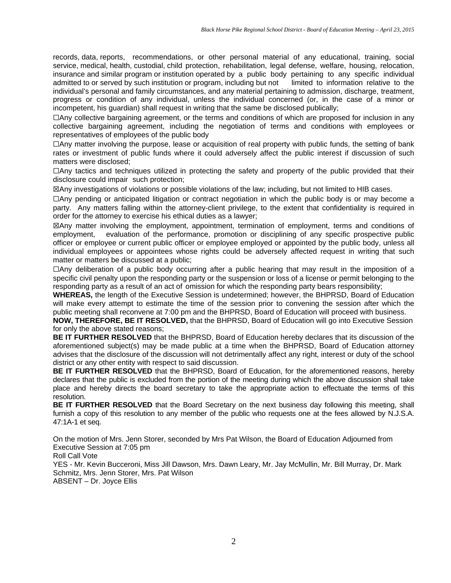records, data, reports, recommendations, or other personal material of any educational, training, social service, medical, health, custodial, child protection, rehabilitation, legal defense, welfare, housing, relocation, insurance and similar program or institution operated by a public body pertaining to any specific individual admitted to or served by such institution or program, including but not limited to information relative to the individual's personal and family circumstances, and any material pertaining to admission, discharge, treatment, progress or condition of any individual, unless the individual concerned (or, in the case of a minor or incompetent, his guardian) shall request in writing that the same be disclosed publically;

☐Any collective bargaining agreement, or the terms and conditions of which are proposed for inclusion in any collective bargaining agreement, including the negotiation of terms and conditions with employees or representatives of employees of the public body

☐Any matter involving the purpose, lease or acquisition of real property with public funds, the setting of bank rates or investment of public funds where it could adversely affect the public interest if discussion of such matters were disclosed;

☐Any tactics and techniques utilized in protecting the safety and property of the public provided that their disclosure could impair such protection;

☒Any investigations of violations or possible violations of the law; including, but not limited to HIB cases.

☐Any pending or anticipated litigation or contract negotiation in which the public body is or may become a party. Any matters falling within the attorney-client privilege, to the extent that confidentiality is required in order for the attorney to exercise his ethical duties as a lawyer;

☒Any matter involving the employment, appointment, termination of employment, terms and conditions of employment, evaluation of the performance, promotion or disciplining of any specific prospective public officer or employee or current public officer or employee employed or appointed by the public body, unless all individual employees or appointees whose rights could be adversely affected request in writing that such matter or matters be discussed at a public;

☐Any deliberation of a public body occurring after a public hearing that may result in the imposition of a specific civil penalty upon the responding party or the suspension or loss of a license or permit belonging to the responding party as a result of an act of omission for which the responding party bears responsibility;

**WHEREAS,** the length of the Executive Session is undetermined; however, the BHPRSD, Board of Education will make every attempt to estimate the time of the session prior to convening the session after which the public meeting shall reconvene at 7:00 pm and the BHPRSD, Board of Education will proceed with business.

**NOW, THEREFORE, BE IT RESOLVED,** that the BHPRSD, Board of Education will go into Executive Session for only the above stated reasons;

**BE IT FURTHER RESOLVED** that the BHPRSD, Board of Education hereby declares that its discussion of the aforementioned subject(s) may be made public at a time when the BHPRSD, Board of Education attorney advises that the disclosure of the discussion will not detrimentally affect any right, interest or duty of the school district or any other entity with respect to said discussion.

**BE IT FURTHER RESOLVED** that the BHPRSD, Board of Education, for the aforementioned reasons, hereby declares that the public is excluded from the portion of the meeting during which the above discussion shall take place and hereby directs the board secretary to take the appropriate action to effectuate the terms of this resolution.

**BE IT FURTHER RESOLVED** that the Board Secretary on the next business day following this meeting, shall furnish a copy of this resolution to any member of the public who requests one at the fees allowed by N.J.S.A. 47:1A-1 et seq.

On the motion of Mrs. Jenn Storer, seconded by Mrs Pat Wilson, the Board of Education Adjourned from Executive Session at 7:05 pm

Roll Call Vote

YES - Mr. Kevin Bucceroni, Miss Jill Dawson, Mrs. Dawn Leary, Mr. Jay McMullin, Mr. Bill Murray, Dr. Mark Schmitz, Mrs. Jenn Storer, Mrs. Pat Wilson ABSENT – Dr. Joyce Ellis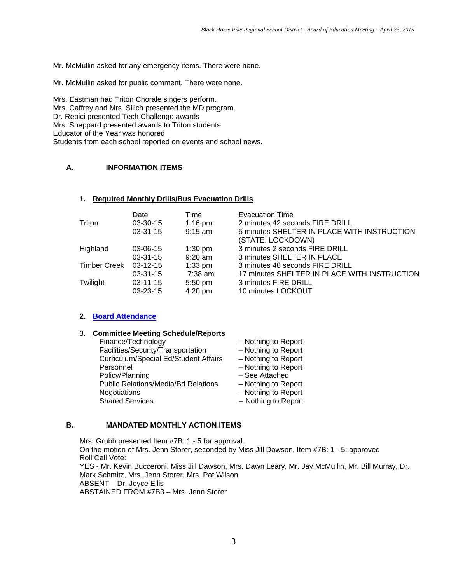Mr. McMullin asked for any emergency items. There were none.

Mr. McMullin asked for public comment. There were none.

Mrs. Eastman had Triton Chorale singers perform. Mrs. Caffrey and Mrs. Silich presented the MD program. Dr. Repici presented Tech Challenge awards Mrs. Sheppard presented awards to Triton students Educator of the Year was honored Students from each school reported on events and school news.

# **A. INFORMATION ITEMS**

#### **1. Required Monthly Drills/Bus Evacuation Drills**

| Triton              | Date                   | Time                   | <b>Evacuation Time</b>                                                            |
|---------------------|------------------------|------------------------|-----------------------------------------------------------------------------------|
|                     | $03-30-15$             | $1:16$ pm              | 2 minutes 42 seconds FIRE DRILL                                                   |
|                     | $03 - 31 - 15$         | $9:15$ am              | 5 minutes SHELTER IN PLACE WITH INSTRUCTION                                       |
| Highland            | 03-06-15<br>$03-31-15$ | $1:30$ pm<br>$9:20$ am | (STATE: LOCKDOWN)<br>3 minutes 2 seconds FIRE DRILL<br>3 minutes SHELTER IN PLACE |
| <b>Timber Creek</b> | $03-12-15$             | $1:33$ pm              | 3 minutes 48 seconds FIRE DRILL                                                   |
|                     | $03-31-15$             | $7:38$ am              | 17 minutes SHELTER IN PLACE WITH INSTRUCTION                                      |
| Twilight            | $03 - 11 - 15$         | 5:50 pm                | 3 minutes FIRE DRILL                                                              |
|                     | 03-23-15               | $4:20$ pm              | 10 minutes LOCKOUT                                                                |

### **2. Board Attendance**

# 3. **Committee Meeting Schedule/Reports**

- Nothing to Report Nothing to Report Nothing to Report Nothing to Report See Attached Nothing to Report Nothing to Report
- Nothing to Report

### **B. MANDATED MONTHLY ACTION ITEMS**

Mrs. Grubb presented Item #7B: 1 - 5 for approval. On the motion of Mrs. Jenn Storer, seconded by Miss Jill Dawson, Item #7B: 1 - 5: approved Roll Call Vote: YES - Mr. Kevin Bucceroni, Miss Jill Dawson, Mrs. Dawn Leary, Mr. Jay McMullin, Mr. Bill Murray, Dr. Mark Schmitz, Mrs. Jenn Storer, Mrs. Pat Wilson ABSENT – Dr. Joyce Ellis ABSTAINED FROM #7B3 – Mrs. Jenn Storer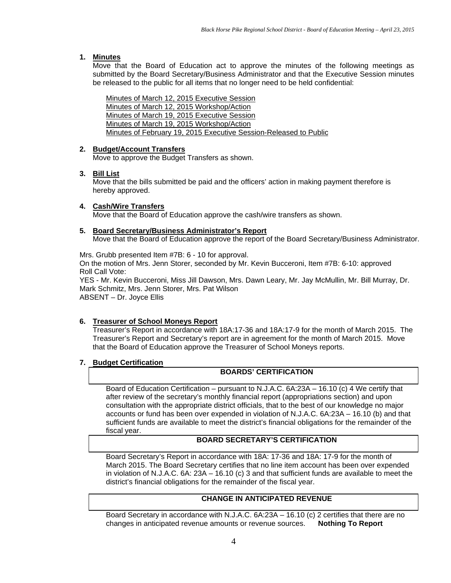### **1. Minutes**

Move that the Board of Education act to approve the minutes of the following meetings as submitted by the Board Secretary/Business Administrator and that the Executive Session minutes be released to the public for all items that no longer need to be held confidential:

Minutes of March 12, 2015 Executive Session Minutes of March 12, 2015 Workshop/Action Minutes of March 19, 2015 Executive Session Minutes of March 19, 2015 Workshop/Action Minutes of February 19, 2015 Executive Session-Released to Public

### **2. Budget/Account Transfers**

Move to approve the Budget Transfers as shown.

#### **3. Bill List**

Move that the bills submitted be paid and the officers' action in making payment therefore is hereby approved.

#### **4. Cash/Wire Transfers**  Move that the Board of Education approve the cash/wire transfers as shown.

#### **5. Board Secretary/Business Administrator's Report**  Move that the Board of Education approve the report of the Board Secretary/Business Administrator.

Mrs. Grubb presented Item #7B: 6 - 10 for approval.

On the motion of Mrs. Jenn Storer, seconded by Mr. Kevin Bucceroni, Item #7B: 6-10: approved Roll Call Vote:

YES - Mr. Kevin Bucceroni, Miss Jill Dawson, Mrs. Dawn Leary, Mr. Jay McMullin, Mr. Bill Murray, Dr. Mark Schmitz, Mrs. Jenn Storer, Mrs. Pat Wilson ABSENT – Dr. Joyce Ellis

# **6. Treasurer of School Moneys Report**

Treasurer's Report in accordance with 18A:17-36 and 18A:17-9 for the month of March 2015. The Treasurer's Report and Secretary's report are in agreement for the month of March 2015. Move that the Board of Education approve the Treasurer of School Moneys reports.

### **7. Budget Certification**

### **BOARDS' CERTIFICATION**

Board of Education Certification – pursuant to N.J.A.C. 6A:23A – 16.10 (c) 4 We certify that after review of the secretary's monthly financial report (appropriations section) and upon consultation with the appropriate district officials, that to the best of our knowledge no major accounts or fund has been over expended in violation of N.J.A.C. 6A:23A – 16.10 (b) and that sufficient funds are available to meet the district's financial obligations for the remainder of the fiscal year.

### **BOARD SECRETARY'S CERTIFICATION**

Board Secretary's Report in accordance with 18A: 17-36 and 18A: 17-9 for the month of March 2015. The Board Secretary certifies that no line item account has been over expended in violation of N.J.A.C. 6A: 23A – 16.10 (c) 3 and that sufficient funds are available to meet the district's financial obligations for the remainder of the fiscal year.

# **CHANGE IN ANTICIPATED REVENUE**

Board Secretary in accordance with N.J.A.C. 6A:23A – 16.10 (c) 2 certifies that there are no changes in anticipated revenue amounts or revenue sources. **Nothing To Report**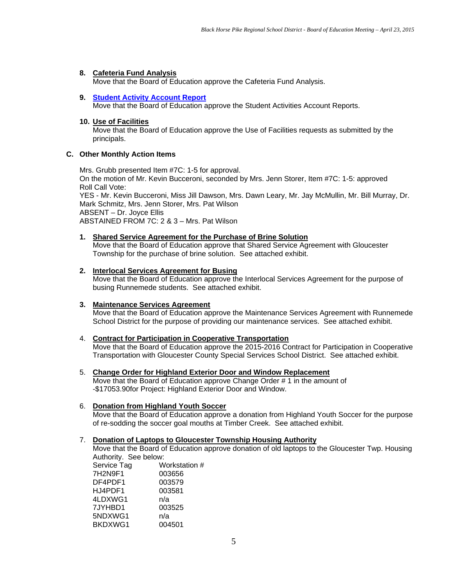### **8. Cafeteria Fund Analysis**

Move that the Board of Education approve the Cafeteria Fund Analysis.

#### **9. Student Activity Account Report**

Move that the Board of Education approve the Student Activities Account Reports.

#### **10. Use of Facilities**

Move that the Board of Education approve the Use of Facilities requests as submitted by the principals.

#### **C. Other Monthly Action Items**

Mrs. Grubb presented Item #7C: 1-5 for approval. On the motion of Mr. Kevin Bucceroni, seconded by Mrs. Jenn Storer, Item #7C: 1-5: approved Roll Call Vote: YES - Mr. Kevin Bucceroni, Miss Jill Dawson, Mrs. Dawn Leary, Mr. Jay McMullin, Mr. Bill Murray, Dr. Mark Schmitz, Mrs. Jenn Storer, Mrs. Pat Wilson ABSENT – Dr. Joyce Ellis ABSTAINED FROM 7C: 2 & 3 – Mrs. Pat Wilson

#### **1. Shared Service Agreement for the Purchase of Brine Solution**

Move that the Board of Education approve that Shared Service Agreement with Gloucester Township for the purchase of brine solution. See attached exhibit.

### **2. Interlocal Services Agreement for Busing**

Move that the Board of Education approve the Interlocal Services Agreement for the purpose of busing Runnemede students. See attached exhibit.

#### **3. Maintenance Services Agreement**

Move that the Board of Education approve the Maintenance Services Agreement with Runnemede School District for the purpose of providing our maintenance services. See attached exhibit.

#### 4. **Contract for Participation in Cooperative Transportation**

Move that the Board of Education approve the 2015-2016 Contract for Participation in Cooperative Transportation with Gloucester County Special Services School District. See attached exhibit.

#### 5. **Change Order for Highland Exterior Door and Window Replacement**

Move that the Board of Education approve Change Order # 1 in the amount of -\$17053.90for Project: Highland Exterior Door and Window.

#### 6. **Donation from Highland Youth Soccer**

Move that the Board of Education approve a donation from Highland Youth Soccer for the purpose of re-sodding the soccer goal mouths at Timber Creek. See attached exhibit.

#### 7. **Donation of Laptops to Gloucester Township Housing Authority**

Move that the Board of Education approve donation of old laptops to the Gloucester Twp. Housing Authority. See below:

| Workstation # |
|---------------|
|               |
|               |
|               |
|               |
|               |
|               |
|               |
|               |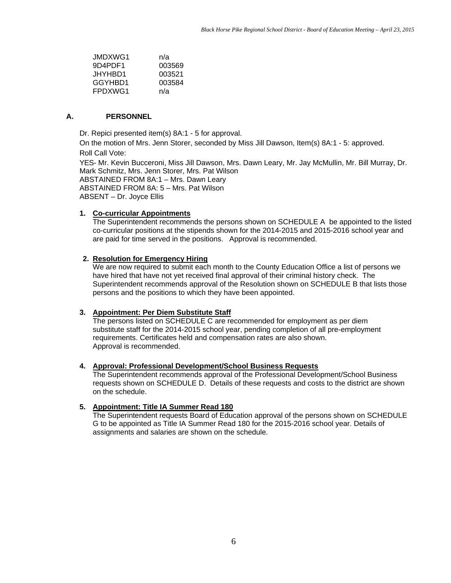| JMDXWG1  | n/a    |
|----------|--------|
| 9D4PDF1  | 003569 |
| JHYHBD1. | 003521 |
| GGYHBD1  | 003584 |
| FPDXWG1  | n/a    |

#### **A. PERSONNEL**

Dr. Repici presented item(s) 8A:1 - 5 for approval.

On the motion of Mrs. Jenn Storer, seconded by Miss Jill Dawson, Item(s) 8A:1 - 5: approved. Roll Call Vote:

YES- Mr. Kevin Bucceroni, Miss Jill Dawson, Mrs. Dawn Leary, Mr. Jay McMullin, Mr. Bill Murray, Dr. Mark Schmitz, Mrs. Jenn Storer, Mrs. Pat Wilson ABSTAINED FROM 8A:1 – Mrs. Dawn Leary ABSTAINED FROM 8A: 5 – Mrs. Pat Wilson ABSENT – Dr. Joyce Ellis

#### **1. Co-curricular Appointments**

The Superintendent recommends the persons shown on SCHEDULE A be appointed to the listed co-curricular positions at the stipends shown for the 2014-2015 and 2015-2016 school year and are paid for time served in the positions. Approval is recommended.

### **2. Resolution for Emergency Hiring**

We are now required to submit each month to the County Education Office a list of persons we have hired that have not yet received final approval of their criminal history check. The Superintendent recommends approval of the Resolution shown on SCHEDULE B that lists those persons and the positions to which they have been appointed.

#### **3. Appointment: Per Diem Substitute Staff**

The persons listed on SCHEDULE C are recommended for employment as per diem substitute staff for the 2014-2015 school year, pending completion of all pre-employment requirements. Certificates held and compensation rates are also shown. Approval is recommended.

#### **4. Approval: Professional Development/School Business Requests**

The Superintendent recommends approval of the Professional Development/School Business requests shown on SCHEDULE D. Details of these requests and costs to the district are shown on the schedule.

#### **5. Appointment: Title IA Summer Read 180**

The Superintendent requests Board of Education approval of the persons shown on SCHEDULE G to be appointed as Title IA Summer Read 180 for the 2015-2016 school year. Details of assignments and salaries are shown on the schedule.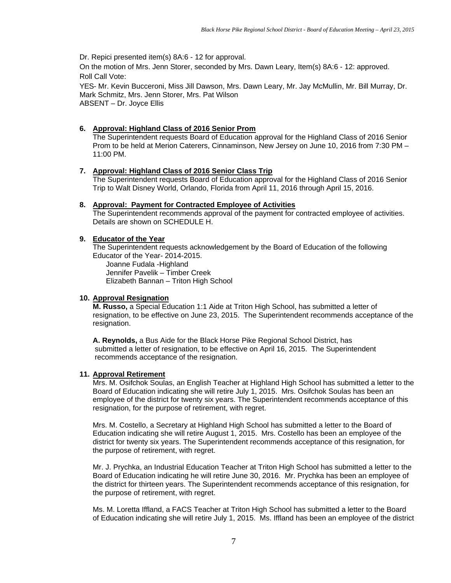Dr. Repici presented item(s) 8A:6 - 12 for approval.

On the motion of Mrs. Jenn Storer, seconded by Mrs. Dawn Leary, Item(s) 8A:6 - 12: approved. Roll Call Vote:

YES- Mr. Kevin Bucceroni, Miss Jill Dawson, Mrs. Dawn Leary, Mr. Jay McMullin, Mr. Bill Murray, Dr. Mark Schmitz, Mrs. Jenn Storer, Mrs. Pat Wilson ABSENT – Dr. Joyce Ellis

### **6. Approval: Highland Class of 2016 Senior Prom**

The Superintendent requests Board of Education approval for the Highland Class of 2016 Senior Prom to be held at Merion Caterers, Cinnaminson, New Jersey on June 10, 2016 from 7:30 PM – 11:00 PM.

### **7. Approval: Highland Class of 2016 Senior Class Trip**

 The Superintendent requests Board of Education approval for the Highland Class of 2016 Senior Trip to Walt Disney World, Orlando, Florida from April 11, 2016 through April 15, 2016.

### **8. Approval: Payment for Contracted Employee of Activities**

The Superintendent recommends approval of the payment for contracted employee of activities. Details are shown on SCHEDULE H.

### **9. Educator of the Year**

The Superintendent requests acknowledgement by the Board of Education of the following Educator of the Year- 2014-2015.

 Joanne Fudala -Highland Jennifer Pavelik – Timber Creek Elizabeth Bannan – Triton High School

### **10. Approval Resignation**

**M. Russo,** a Special Education 1:1 Aide at Triton High School, has submitted a letter of resignation, to be effective on June 23, 2015. The Superintendent recommends acceptance of the resignation.

**A. Reynolds,** a Bus Aide for the Black Horse Pike Regional School District, has submitted a letter of resignation, to be effective on April 16, 2015. The Superintendent recommends acceptance of the resignation.

### **11. Approval Retirement**

Mrs. M. Osifchok Soulas, an English Teacher at Highland High School has submitted a letter to the Board of Education indicating she will retire July 1, 2015. Mrs. Osifchok Soulas has been an employee of the district for twenty six years. The Superintendent recommends acceptance of this resignation, for the purpose of retirement, with regret.

Mrs. M. Costello, a Secretary at Highland High School has submitted a letter to the Board of Education indicating she will retire August 1, 2015. Mrs. Costello has been an employee of the district for twenty six years. The Superintendent recommends acceptance of this resignation, for the purpose of retirement, with regret.

Mr. J. Prychka, an Industrial Education Teacher at Triton High School has submitted a letter to the Board of Education indicating he will retire June 30, 2016. Mr. Prychka has been an employee of the district for thirteen years. The Superintendent recommends acceptance of this resignation, for the purpose of retirement, with regret.

Ms. M. Loretta Iffland, a FACS Teacher at Triton High School has submitted a letter to the Board of Education indicating she will retire July 1, 2015. Ms. Iffland has been an employee of the district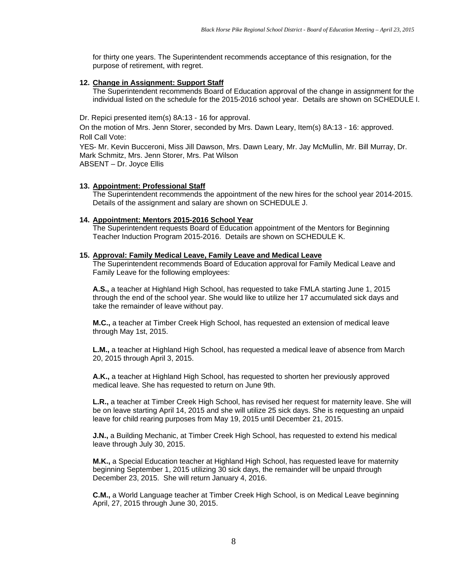for thirty one years. The Superintendent recommends acceptance of this resignation, for the purpose of retirement, with regret.

#### **12. Change in Assignment: Support Staff**

The Superintendent recommends Board of Education approval of the change in assignment for the individual listed on the schedule for the 2015-2016 school year. Details are shown on SCHEDULE I.

Dr. Repici presented item(s) 8A:13 - 16 for approval.

On the motion of Mrs. Jenn Storer, seconded by Mrs. Dawn Leary, Item(s) 8A:13 - 16: approved. Roll Call Vote:

YES- Mr. Kevin Bucceroni, Miss Jill Dawson, Mrs. Dawn Leary, Mr. Jay McMullin, Mr. Bill Murray, Dr. Mark Schmitz, Mrs. Jenn Storer, Mrs. Pat Wilson ABSENT – Dr. Joyce Ellis

#### **13. Appointment: Professional Staff**

The Superintendent recommends the appointment of the new hires for the school year 2014-2015. Details of the assignment and salary are shown on SCHEDULE J.

#### **14. Appointment: Mentors 2015-2016 School Year**

The Superintendent requests Board of Education appointment of the Mentors for Beginning Teacher Induction Program 2015-2016. Details are shown on SCHEDULE K.

#### **15. Approval: Family Medical Leave, Family Leave and Medical Leave**

The Superintendent recommends Board of Education approval for Family Medical Leave and Family Leave for the following employees:

**A.S.,** a teacher at Highland High School, has requested to take FMLA starting June 1, 2015 through the end of the school year. She would like to utilize her 17 accumulated sick days and take the remainder of leave without pay.

**M.C.,** a teacher at Timber Creek High School, has requested an extension of medical leave through May 1st, 2015.

**L.M.,** a teacher at Highland High School, has requested a medical leave of absence from March 20, 2015 through April 3, 2015.

**A.K.,** a teacher at Highland High School, has requested to shorten her previously approved medical leave. She has requested to return on June 9th.

**L.R.,** a teacher at Timber Creek High School, has revised her request for maternity leave. She will be on leave starting April 14, 2015 and she will utilize 25 sick days. She is requesting an unpaid leave for child rearing purposes from May 19, 2015 until December 21, 2015.

**J.N.,** a Building Mechanic, at Timber Creek High School, has requested to extend his medical leave through July 30, 2015.

**M.K.,** a Special Education teacher at Highland High School, has requested leave for maternity beginning September 1, 2015 utilizing 30 sick days, the remainder will be unpaid through December 23, 2015. She will return January 4, 2016.

**C.M.,** a World Language teacher at Timber Creek High School, is on Medical Leave beginning April, 27, 2015 through June 30, 2015.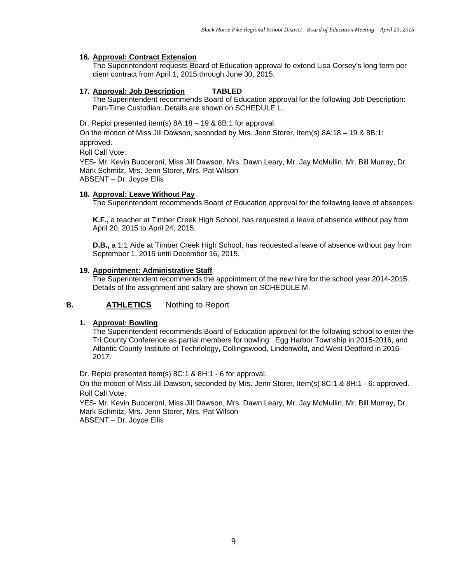### **16. Approval: Contract Extension**

The Superintendent requests Board of Education approval to extend Lisa Corsey's long term per diem contract from April 1, 2015 through June 30, 2015.

#### **17. Approval: Job Description TABLED**

The Superintendent recommends Board of Education approval for the following Job Description: Part-Time Custodian. Details are shown on SCHEDULE L.

Dr. Repici presented item(s) 8A:18 – 19 & 8B:1 for approval.

On the motion of Miss Jill Dawson, seconded by Mrs. Jenn Storer, Item(s) 8A:18 – 19 & 8B:1: approved.

Roll Call Vote:

YES- Mr. Kevin Bucceroni, Miss Jill Dawson, Mrs. Dawn Leary, Mr. Jay McMullin, Mr. Bill Murray, Dr. Mark Schmitz, Mrs. Jenn Storer, Mrs. Pat Wilson ABSENT – Dr. Joyce Ellis

#### **18. Approval: Leave Without Pay**

The Superintendent recommends Board of Education approval for the following leave of absences:

**K.F.,** a teacher at Timber Creek High School, has requested a leave of absence without pay from April 20, 2015 to April 24, 2015.

**D.B.,** a 1:1 Aide at Timber Creek High School, has requested a leave of absence without pay from September 1, 2015 until December 16, 2015.

#### **19. Appointment: Administrative Staff**

The Superintendent recommends the appointment of the new hire for the school year 2014-2015. Details of the assignment and salary are shown on SCHEDULE M.

### **B. ATHLETICS** Nothing to Report

#### **1. Approval: Bowling**

The Superintendent recommends Board of Education approval for the following school to enter the Tri County Conference as partial members for bowling: Egg Harbor Township in 2015-2016, and Atlantic County Institute of Technology, Collingswood, Lindenwold, and West Deptford in 2016- 2017.

Dr. Repici presented item(s) 8C:1 & 8H:1 - 6 for approval.

On the motion of Miss Jill Dawson, seconded by Mrs. Jenn Storer, Item(s) 8C:1 & 8H:1 - 6: approved. Roll Call Vote:

YES- Mr. Kevin Bucceroni, Miss Jill Dawson, Mrs. Dawn Leary, Mr. Jay McMullin, Mr. Bill Murray, Dr. Mark Schmitz, Mrs. Jenn Storer, Mrs. Pat Wilson ABSENT – Dr. Joyce Ellis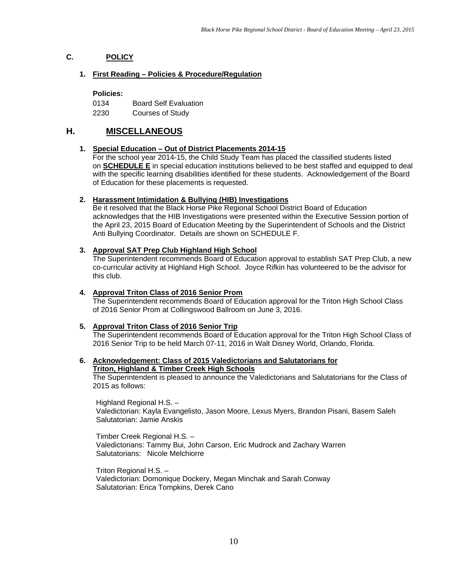# **C. POLICY**

#### **1. First Reading – Policies & Procedure/Regulation**

**Policies:** 

0134 Board Self Evaluation

2230 Courses of Study

# **H. MISCELLANEOUS**

### **1. Special Education – Out of District Placements 2014-15**

For the school year 2014-15, the Child Study Team has placed the classified students listed on **SCHEDULE E** in special education institutions believed to be best staffed and equipped to deal with the specific learning disabilities identified for these students. Acknowledgement of the Board of Education for these placements is requested.

### **2. Harassment Intimidation & Bullying (HIB) Investigations**

Be it resolved that the Black Horse Pike Regional School District Board of Education acknowledges that the HIB Investigations were presented within the Executive Session portion of the April 23, 2015 Board of Education Meeting by the Superintendent of Schools and the District Anti Bullying Coordinator. Details are shown on SCHEDULE F.

### **3. Approval SAT Prep Club Highland High School**

The Superintendent recommends Board of Education approval to establish SAT Prep Club, a new co-curricular activity at Highland High School. Joyce Rifkin has volunteered to be the advisor for this club.

### **4. Approval Triton Class of 2016 Senior Prom**

The Superintendent recommends Board of Education approval for the Triton High School Class of 2016 Senior Prom at Collingswood Ballroom on June 3, 2016.

### **5. Approval Triton Class of 2016 Senior Trip**

The Superintendent recommends Board of Education approval for the Triton High School Class of 2016 Senior Trip to be held March 07-11, 2016 in Walt Disney World, Orlando, Florida.

#### **6. Acknowledgement: Class of 2015 Valedictorians and Salutatorians for Triton, Highland & Timber Creek High Schools**

The Superintendent is pleased to announce the Valedictorians and Salutatorians for the Class of 2015 as follows:

Highland Regional H.S. – Valedictorian: Kayla Evangelisto, Jason Moore, Lexus Myers, Brandon Pisani, Basem Saleh Salutatorian: Jamie Anskis

Timber Creek Regional H.S. – Valedictorians: Tammy Bui, John Carson, Eric Mudrock and Zachary Warren Salutatorians: Nicole Melchiorre

Triton Regional H.S. – Valedictorian: Domonique Dockery, Megan Minchak and Sarah Conway Salutatorian: Erica Tompkins, Derek Cano